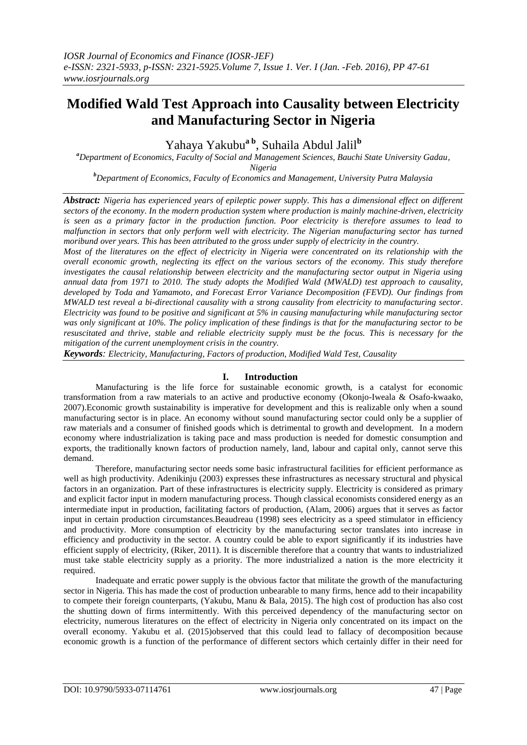# **Modified Wald Test Approach into Causality between Electricity and Manufacturing Sector in Nigeria**

Yahaya Yakubu**a b** , Suhaila Abdul Jalil**<sup>b</sup>**

*<sup>a</sup>Department of Economics, Faculty of Social and Management Sciences, Bauchi State University Gadau, Nigeria*

*<sup>b</sup>Department of Economics, Faculty of Economics and Management, University Putra Malaysia*

*Abstract: Nigeria has experienced years of epileptic power supply. This has a dimensional effect on different sectors of the economy. In the modern production system where production is mainly machine-driven, electricity is seen as a primary factor in the production function. Poor electricity is therefore assumes to lead to malfunction in sectors that only perform well with electricity. The Nigerian manufacturing sector has turned moribund over years. This has been attributed to the gross under supply of electricity in the country.*

*Most of the literatures on the effect of electricity in Nigeria were concentrated on its relationship with the overall economic growth, neglecting its effect on the various sectors of the economy. This study therefore investigates the causal relationship between electricity and the manufacturing sector output in Nigeria using annual data from 1971 to 2010. The study adopts the Modified Wald (MWALD) test approach to causality, developed by Toda and Yamamoto, and Forecast Error Variance Decomposition (FEVD). Our findings from MWALD test reveal a bi-directional causality with a strong causality from electricity to manufacturing sector. Electricity was found to be positive and significant at 5% in causing manufacturing while manufacturing sector was only significant at 10%. The policy implication of these findings is that for the manufacturing sector to be resuscitated and thrive, stable and reliable electricity supply must be the focus. This is necessary for the mitigation of the current unemployment crisis in the country.*

*Keywords: Electricity, Manufacturing, Factors of production, Modified Wald Test, Causality*

#### **I. Introduction**

Manufacturing is the life force for sustainable economic growth, is a catalyst for economic transformation from a raw materials to an active and productive economy (Okonjo-Iweala & Osafo-kwaako, 2007).Economic growth sustainability is imperative for development and this is realizable only when a sound manufacturing sector is in place. An economy without sound manufacturing sector could only be a supplier of raw materials and a consumer of finished goods which is detrimental to growth and development. In a modern economy where industrialization is taking pace and mass production is needed for domestic consumption and exports, the traditionally known factors of production namely, land, labour and capital only, cannot serve this demand.

Therefore, manufacturing sector needs some basic infrastructural facilities for efficient performance as well as high productivity. Adenikinju (2003) expresses these infrastructures as necessary structural and physical factors in an organization. Part of these infrastructures is electricity supply. Electricity is considered as primary and explicit factor input in modern manufacturing process. Though classical economists considered energy as an intermediate input in production, facilitating factors of production, (Alam, 2006) argues that it serves as factor input in certain production circumstances.Beaudreau (1998) sees electricity as a speed stimulator in efficiency and productivity. More consumption of electricity by the manufacturing sector translates into increase in efficiency and productivity in the sector. A country could be able to export significantly if its industries have efficient supply of electricity, (Riker, 2011). It is discernible therefore that a country that wants to industrialized must take stable electricity supply as a priority. The more industrialized a nation is the more electricity it required.

Inadequate and erratic power supply is the obvious factor that militate the growth of the manufacturing sector in Nigeria. This has made the cost of production unbearable to many firms, hence add to their incapability to compete their foreign counterparts, (Yakubu, Manu & Bala, 2015). The high cost of production has also cost the shutting down of firms intermittently. With this perceived dependency of the manufacturing sector on electricity, numerous literatures on the effect of electricity in Nigeria only concentrated on its impact on the overall economy. Yakubu et al. (2015)observed that this could lead to fallacy of decomposition because economic growth is a function of the performance of different sectors which certainly differ in their need for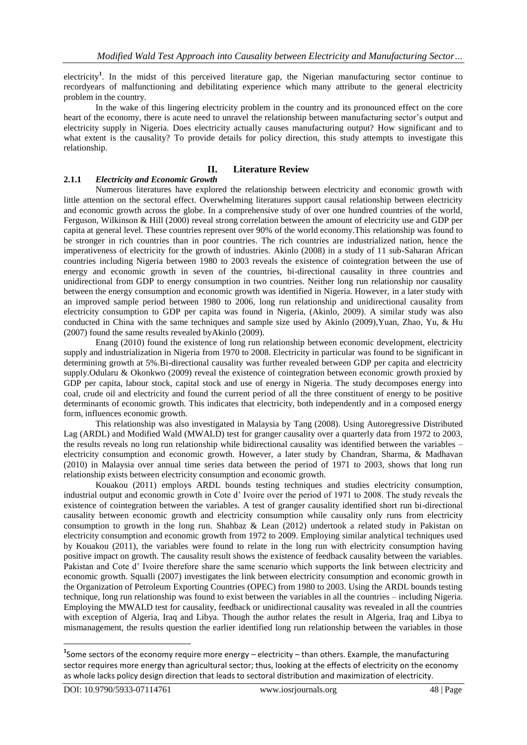electricity<sup>1</sup>. In the midst of this perceived literature gap, the Nigerian manufacturing sector continue to recordyears of malfunctioning and debilitating experience which many attribute to the general electricity problem in the country.

In the wake of this lingering electricity problem in the country and its pronounced effect on the core heart of the economy, there is acute need to unravel the relationship between manufacturing sector's output and electricity supply in Nigeria. Does electricity actually causes manufacturing output? How significant and to what extent is the causality? To provide details for policy direction, this study attempts to investigate this relationship.

## **II. Literature Review**

## **2.1.1** *Electricity and Economic Growth*

Numerous literatures have explored the relationship between electricity and economic growth with little attention on the sectoral effect. Overwhelming literatures support causal relationship between electricity and economic growth across the globe. In a comprehensive study of over one hundred countries of the world, Ferguson, Wilkinson & Hill (2000) reveal strong correlation between the amount of electricity use and GDP per capita at general level. These countries represent over 90% of the world economy.This relationship was found to be stronger in rich countries than in poor countries. The rich countries are industrialized nation, hence the imperativeness of electricity for the growth of industries. Akinlo (2008) in a study of 11 sub-Saharan African countries including Nigeria between 1980 to 2003 reveals the existence of cointegration between the use of energy and economic growth in seven of the countries, bi-directional causality in three countries and unidirectional from GDP to energy consumption in two countries. Neither long run relationship nor causality between the energy consumption and economic growth was identified in Nigeria. However, in a later study with an improved sample period between 1980 to 2006, long run relationship and unidirectional causality from electricity consumption to GDP per capita was found in Nigeria, (Akinlo, 2009). A similar study was also conducted in China with the same techniques and sample size used by Akinlo (2009),Yuan, Zhao, Yu, & Hu (2007) found the same results revealed byAkinlo (2009).

Enang (2010) found the existence of long run relationship between economic development, electricity supply and industrialization in Nigeria from 1970 to 2008. Electricity in particular was found to be significant in determining growth at 5%. Bi-directional causality was further revealed between GDP per capita and electricity supply.Odularu & Okonkwo (2009) reveal the existence of cointegration between economic growth proxied by GDP per capita, labour stock, capital stock and use of energy in Nigeria. The study decomposes energy into coal, crude oil and electricity and found the current period of all the three constituent of energy to be positive determinants of economic growth. This indicates that electricity, both independently and in a composed energy form, influences economic growth.

This relationship was also investigated in Malaysia by Tang (2008). Using Autoregressive Distributed Lag (ARDL) and Modified Wald (MWALD) test for granger causality over a quarterly data from 1972 to 2003, the results reveals no long run relationship while bidirectional causality was identified between the variables – electricity consumption and economic growth. However, a later study by Chandran, Sharma, & Madhavan (2010) in Malaysia over annual time series data between the period of 1971 to 2003, shows that long run relationship exists between electricity consumption and economic growth.

Kouakou (2011) employs ARDL bounds testing techniques and studies electricity consumption, industrial output and economic growth in Cote d' Ivoire over the period of 1971 to 2008. The study reveals the existence of cointegration between the variables. A test of granger causality identified short run bi-directional causality between economic growth and electricity consumption while causality only runs from electricity consumption to growth in the long run. Shahbaz & Lean (2012) undertook a related study in Pakistan on electricity consumption and economic growth from 1972 to 2009. Employing similar analytical techniques used by Kouakou (2011), the variables were found to relate in the long run with electricity consumption having positive impact on growth. The causality result shows the existence of feedback causality between the variables. Pakistan and Cote d' Ivoire therefore share the same scenario which supports the link between electricity and economic growth. Squalli (2007) investigates the link between electricity consumption and economic growth in the Organization of Petroleum Exporting Countries (OPEC) from 1980 to 2003. Using the ARDL bounds testing technique, long run relationship was found to exist between the variables in all the countries – including Nigeria. Employing the MWALD test for causality, feedback or unidirectional causality was revealed in all the countries with exception of Algeria, Iraq and Libya. Though the author relates the result in Algeria, Iraq and Libya to mismanagement, the results question the earlier identified long run relationship between the variables in those

**.** 

**<sup>1</sup>** Some sectors of the economy require more energy – electricity – than others. Example, the manufacturing sector requires more energy than agricultural sector; thus, looking at the effects of electricity on the economy as whole lacks policy design direction that leads to sectoral distribution and maximization of electricity.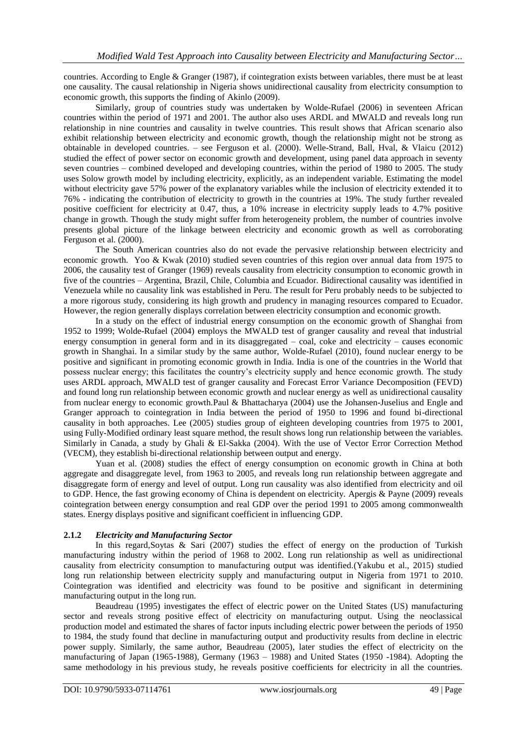countries. According to Engle & Granger (1987), if cointegration exists between variables, there must be at least one causality. The causal relationship in Nigeria shows unidirectional causality from electricity consumption to economic growth, this supports the finding of Akinlo (2009).

Similarly, group of countries study was undertaken by Wolde-Rufael (2006) in seventeen African countries within the period of 1971 and 2001. The author also uses ARDL and MWALD and reveals long run relationship in nine countries and causality in twelve countries. This result shows that African scenario also exhibit relationship between electricity and economic growth, though the relationship might not be strong as obtainable in developed countries. – see Ferguson et al. (2000). Welle-Strand, Ball, Hval, & Vlaicu (2012) studied the effect of power sector on economic growth and development, using panel data approach in seventy seven countries – combined developed and developing countries, within the period of 1980 to 2005. The study uses Solow growth model by including electricity, explicitly, as an independent variable. Estimating the model without electricity gave 57% power of the explanatory variables while the inclusion of electricity extended it to 76% - indicating the contribution of electricity to growth in the countries at 19%. The study further revealed positive coefficient for electricity at 0.47, thus, a 10% increase in electricity supply leads to 4.7% positive change in growth. Though the study might suffer from heterogeneity problem, the number of countries involve presents global picture of the linkage between electricity and economic growth as well as corroborating Ferguson et al. (2000).

The South American countries also do not evade the pervasive relationship between electricity and economic growth. Yoo & Kwak (2010) studied seven countries of this region over annual data from 1975 to 2006, the causality test of Granger (1969) reveals causality from electricity consumption to economic growth in five of the countries – Argentina, Brazil, Chile, Columbia and Ecuador. Bidirectional causality was identified in Venezuela while no causality link was established in Peru. The result for Peru probably needs to be subjected to a more rigorous study, considering its high growth and prudency in managing resources compared to Ecuador. However, the region generally displays correlation between electricity consumption and economic growth.

In a study on the effect of industrial energy consumption on the economic growth of Shanghai from 1952 to 1999; Wolde-Rufael (2004) employs the MWALD test of granger causality and reveal that industrial energy consumption in general form and in its disaggregated – coal, coke and electricity – causes economic growth in Shanghai. In a similar study by the same author, Wolde-Rufael (2010), found nuclear energy to be positive and significant in promoting economic growth in India. India is one of the countries in the World that possess nuclear energy; this facilitates the country's electricity supply and hence economic growth. The study uses ARDL approach, MWALD test of granger causality and Forecast Error Variance Decomposition (FEVD) and found long run relationship between economic growth and nuclear energy as well as unidirectional causality from nuclear energy to economic growth.Paul & Bhattacharya (2004) use the Johansen-Juselius and Engle and Granger approach to cointegration in India between the period of 1950 to 1996 and found bi-directional causality in both approaches. Lee (2005) studies group of eighteen developing countries from 1975 to 2001, using Fully-Modified ordinary least square method, the result shows long run relationship between the variables. Similarly in Canada, a study by Ghali & El-Sakka (2004). With the use of Vector Error Correction Method (VECM), they establish bi-directional relationship between output and energy.

Yuan et al. (2008) studies the effect of energy consumption on economic growth in China at both aggregate and disaggregate level, from 1963 to 2005, and reveals long run relationship between aggregate and disaggregate form of energy and level of output. Long run causality was also identified from electricity and oil to GDP. Hence, the fast growing economy of China is dependent on electricity. Apergis & Payne (2009) reveals cointegration between energy consumption and real GDP over the period 1991 to 2005 among commonwealth states. Energy displays positive and significant coefficient in influencing GDP.

## **2.1.2** *Electricity and Manufacturing Sector*

In this regard,Soytas & Sari (2007) studies the effect of energy on the production of Turkish manufacturing industry within the period of 1968 to 2002. Long run relationship as well as unidirectional causality from electricity consumption to manufacturing output was identified.(Yakubu et al., 2015) studied long run relationship between electricity supply and manufacturing output in Nigeria from 1971 to 2010. Cointegration was identified and electricity was found to be positive and significant in determining manufacturing output in the long run.

Beaudreau (1995) investigates the effect of electric power on the United States (US) manufacturing sector and reveals strong positive effect of electricity on manufacturing output. Using the neoclassical production model and estimated the shares of factor inputs including electric power between the periods of 1950 to 1984, the study found that decline in manufacturing output and productivity results from decline in electric power supply. Similarly, the same author, Beaudreau (2005), later studies the effect of electricity on the manufacturing of Japan (1965-1988), Germany (1963 – 1988) and United States (1950 -1984). Adopting the same methodology in his previous study, he reveals positive coefficients for electricity in all the countries.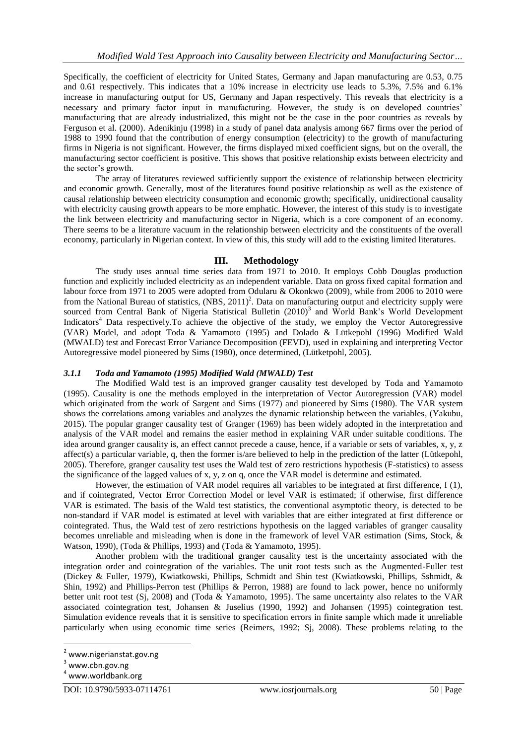Specifically, the coefficient of electricity for United States, Germany and Japan manufacturing are 0.53, 0.75 and 0.61 respectively. This indicates that a 10% increase in electricity use leads to 5.3%, 7.5% and 6.1% increase in manufacturing output for US, Germany and Japan respectively. This reveals that electricity is a necessary and primary factor input in manufacturing. However, the study is on developed countries' manufacturing that are already industrialized, this might not be the case in the poor countries as reveals by Ferguson et al. (2000). Adenikinju (1998) in a study of panel data analysis among 667 firms over the period of 1988 to 1990 found that the contribution of energy consumption (electricity) to the growth of manufacturing firms in Nigeria is not significant. However, the firms displayed mixed coefficient signs, but on the overall, the manufacturing sector coefficient is positive. This shows that positive relationship exists between electricity and the sector's growth.

The array of literatures reviewed sufficiently support the existence of relationship between electricity and economic growth. Generally, most of the literatures found positive relationship as well as the existence of causal relationship between electricity consumption and economic growth; specifically, unidirectional causality with electricity causing growth appears to be more emphatic. However, the interest of this study is to investigate the link between electricity and manufacturing sector in Nigeria, which is a core component of an economy. There seems to be a literature vacuum in the relationship between electricity and the constituents of the overall economy, particularly in Nigerian context. In view of this, this study will add to the existing limited literatures.

#### **III. Methodology**

The study uses annual time series data from 1971 to 2010. It employs Cobb Douglas production function and explicitly included electricity as an independent variable. Data on gross fixed capital formation and labour force from 1971 to 2005 were adopted from Odularu & Okonkwo (2009), while from 2006 to 2010 were from the National Bureau of statistics,  $(NBS, 2011)^2$ . Data on manufacturing output and electricity supply were sourced from Central Bank of Nigeria Statistical Bulletin (2010)<sup>3</sup> and World Bank's World Development Indicators<sup>4</sup> Data respectively. To achieve the objective of the study, we employ the Vector Autoregressive (VAR) Model, and adopt Toda & Yamamoto (1995) and Dolado & Lütkepohl (1996) Modified Wald (MWALD) test and Forecast Error Variance Decomposition (FEVD), used in explaining and interpreting Vector Autoregressive model pioneered by Sims (1980), once determined, (Lütketpohl, 2005).

#### *3.1.1 Toda and Yamamoto (1995) Modified Wald (MWALD) Test*

The Modified Wald test is an improved granger causality test developed by Toda and Yamamoto (1995). Causality is one the methods employed in the interpretation of Vector Autoregression (VAR) model which originated from the work of Sargent and Sims (1977) and pioneered by Sims (1980). The VAR system shows the correlations among variables and analyzes the dynamic relationship between the variables, (Yakubu, 2015). The popular granger causality test of Granger (1969) has been widely adopted in the interpretation and analysis of the VAR model and remains the easier method in explaining VAR under suitable conditions. The idea around granger causality is, an effect cannot precede a cause, hence, if a variable or sets of variables, x, y, z affect(s) a particular variable, q, then the former is/are believed to help in the prediction of the latter (Lütkepohl, 2005). Therefore, granger causality test uses the Wald test of zero restrictions hypothesis (F-statistics) to assess the significance of the lagged values of x, y, z on q, once the VAR model is determine and estimated.

However, the estimation of VAR model requires all variables to be integrated at first difference, I (1), and if cointegrated, Vector Error Correction Model or level VAR is estimated; if otherwise, first difference VAR is estimated. The basis of the Wald test statistics, the conventional asymptotic theory, is detected to be non-standard if VAR model is estimated at level with variables that are either integrated at first difference or cointegrated. Thus, the Wald test of zero restrictions hypothesis on the lagged variables of granger causality becomes unreliable and misleading when is done in the framework of level VAR estimation (Sims, Stock, & Watson, 1990), (Toda & Phillips, 1993) and (Toda & Yamamoto, 1995).

Another problem with the traditional granger causality test is the uncertainty associated with the integration order and cointegration of the variables. The unit root tests such as the Augmented-Fuller test (Dickey & Fuller, 1979), Kwiatkowski, Phillips, Schmidt and Shin test (Kwiatkowski, Phillips, Sshmidt, & Shin, 1992) and Phillips-Perron test (Phillips & Perron, 1988) are found to lack power, hence no uniformly better unit root test (Sj, 2008) and (Toda & Yamamoto, 1995). The same uncertainty also relates to the VAR associated cointegration test, Johansen & Juselius (1990, 1992) and Johansen (1995) cointegration test. Simulation evidence reveals that it is sensitive to specification errors in finite sample which made it unreliable particularly when using economic time series (Reimers, 1992; Sj, 2008). These problems relating to the

**.** 

<sup>2</sup> www.nigerianstat.gov.ng

 $3$  www.cbn.gov.ng

<sup>4</sup> www.worldbank.org

DOI: 10.9790/5933-07114761 www.iosrjournals.org 50 | Page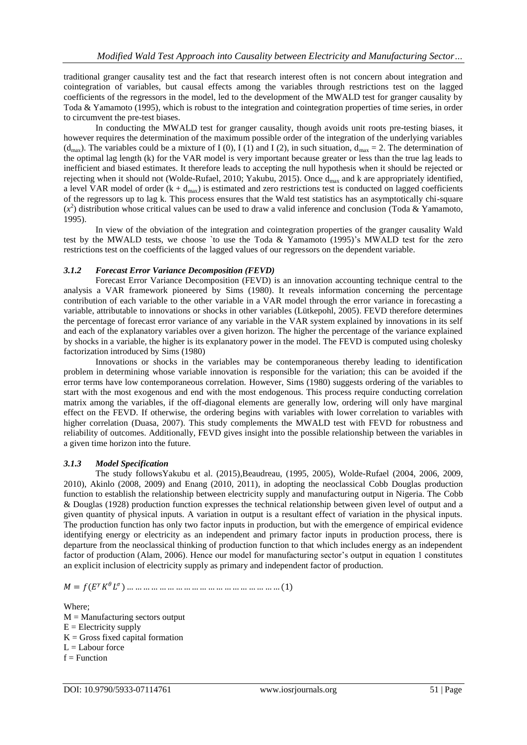traditional granger causality test and the fact that research interest often is not concern about integration and cointegration of variables, but causal effects among the variables through restrictions test on the lagged coefficients of the regressors in the model, led to the development of the MWALD test for granger causality by Toda & Yamamoto (1995), which is robust to the integration and cointegration properties of time series, in order to circumvent the pre-test biases.

In conducting the MWALD test for granger causality, though avoids unit roots pre-testing biases, it however requires the determination of the maximum possible order of the integration of the underlying variables (d<sub>max</sub>). The variables could be a mixture of I (0), I (1) and I (2), in such situation,  $d_{\text{max}} = 2$ . The determination of the optimal lag length (k) for the VAR model is very important because greater or less than the true lag leads to inefficient and biased estimates. It therefore leads to accepting the null hypothesis when it should be rejected or rejecting when it should not (Wolde-Rufael, 2010; Yakubu, 2015). Once dmax and k are appropriately identified, a level VAR model of order  $(k + d<sub>max</sub>)$  is estimated and zero restrictions test is conducted on lagged coefficients of the regressors up to lag k. This process ensures that the Wald test statistics has an asymptotically chi-square  $(x^2)$  distribution whose critical values can be used to draw a valid inference and conclusion (Toda & Yamamoto, 1995).

In view of the obviation of the integration and cointegration properties of the granger causality Wald test by the MWALD tests, we choose `to use the Toda & Yamamoto (1995)'s MWALD test for the zero restrictions test on the coefficients of the lagged values of our regressors on the dependent variable.

#### *3.1.2 Forecast Error Variance Decomposition (FEVD)*

Forecast Error Variance Decomposition (FEVD) is an innovation accounting technique central to the analysis a VAR framework pioneered by Sims (1980). It reveals information concerning the percentage contribution of each variable to the other variable in a VAR model through the error variance in forecasting a variable, attributable to innovations or shocks in other variables (Lütkepohl, 2005). FEVD therefore determines the percentage of forecast error variance of any variable in the VAR system explained by innovations in its self and each of the explanatory variables over a given horizon. The higher the percentage of the variance explained by shocks in a variable, the higher is its explanatory power in the model. The FEVD is computed using cholesky factorization introduced by Sims (1980)

Innovations or shocks in the variables may be contemporaneous thereby leading to identification problem in determining whose variable innovation is responsible for the variation; this can be avoided if the error terms have low contemporaneous correlation. However, Sims (1980) suggests ordering of the variables to start with the most exogenous and end with the most endogenous. This process require conducting correlation matrix among the variables, if the off-diagonal elements are generally low, ordering will only have marginal effect on the FEVD. If otherwise, the ordering begins with variables with lower correlation to variables with higher correlation (Duasa, 2007). This study complements the MWALD test with FEVD for robustness and reliability of outcomes. Additionally, FEVD gives insight into the possible relationship between the variables in a given time horizon into the future.

#### *3.1.3 Model Specification*

The study followsYakubu et al. (2015),Beaudreau, (1995, 2005), Wolde-Rufael (2004, 2006, 2009, 2010), Akinlo (2008, 2009) and Enang (2010, 2011), in adopting the neoclassical Cobb Douglas production function to establish the relationship between electricity supply and manufacturing output in Nigeria. The Cobb & Douglas (1928) production function expresses the technical relationship between given level of output and a given quantity of physical inputs. A variation in output is a resultant effect of variation in the physical inputs. The production function has only two factor inputs in production, but with the emergence of empirical evidence identifying energy or electricity as an independent and primary factor inputs in production process, there is departure from the neoclassical thinking of production function to that which includes energy as an independent factor of production (Alam, 2006). Hence our model for manufacturing sector's output in equation 1 constitutes an explicit inclusion of electricity supply as primary and independent factor of production.

= ( ) … … … … … … … … … … … … … … … … … … … (1)

Where;  $M =$ Manufacturing sectors output  $E =$  Electricity supply  $K =$  Gross fixed capital formation  $L =$ Labour force  $f = Function$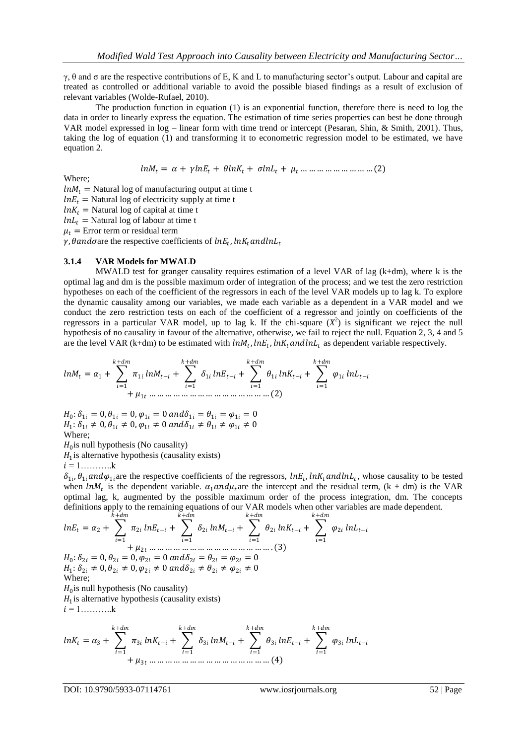γ, θ and σ are the respective contributions of E, K and L to manufacturing sector's output. Labour and capital are treated as controlled or additional variable to avoid the possible biased findings as a result of exclusion of relevant variables (Wolde-Rufael, 2010).

The production function in equation (1) is an exponential function, therefore there is need to log the data in order to linearly express the equation. The estimation of time series properties can best be done through VAR model expressed in log – linear form with time trend or intercept (Pesaran, Shin, & Smith, 2001). Thus, taking the log of equation (1) and transforming it to econometric regression model to be estimated, we have equation 2.

= + + + + … … … … … … … … … (2)

Where;

 $ln M_t$  = Natural log of manufacturing output at time t  $lnE_t$  = Natural log of electricity supply at time t  $ln K_t$  = Natural log of capital at time t  $ln L_t$  = Natural log of labour at time t

 $\mu_t$  = Error term or residual term

 $\gamma$ ,  $\theta$  and  $\sigma$  are the respective coefficients of  $ln E_t$ ,  $ln K_t$  and  $ln L_t$ 

#### **3.1.4 VAR Models for MWALD**

MWALD test for granger causality requires estimation of a level VAR of lag (k+dm), where k is the optimal lag and dm is the possible maximum order of integration of the process; and we test the zero restriction hypotheses on each of the coefficient of the regressors in each of the level VAR models up to lag k. To explore the dynamic causality among our variables, we made each variable as a dependent in a VAR model and we conduct the zero restriction tests on each of the coefficient of a regressor and jointly on coefficients of the regressors in a particular VAR model, up to lag k. If the chi-square  $(X^2)$  is significant we reject the null hypothesis of no causality in favour of the alternative, otherwise, we fail to reject the null. Equation 2, 3, 4 and 5 are the level VAR (k+dm) to be estimated with  $ln M_t$ ,  $ln E_t$ ,  $ln K_t$  and  $ln L_t$  as dependent variable respectively.

$$
lnM_{t} = \alpha_{1} + \sum_{i=1}^{k+dm} \pi_{1i} lnM_{t-i} + \sum_{i=1}^{k+dm} \delta_{1i} lnE_{t-i} + \sum_{i=1}^{k+dm} \theta_{1i} lnK_{t-i} + \sum_{i=1}^{k+dm} \varphi_{1i} lnL_{t-i}
$$
  
+  $\mu_{1t} + \mu_{1t} + \cdots + \mu_{1t} + \cdots + \mu_{1t} + \cdots + \mu_{1t} + \cdots + \mu_{1t} + \cdots + \mu_{1t} + \cdots + \mu_{1t} + \cdots + \mu_{1t} + \cdots + \mu_{1t} + \cdots + \mu_{1t} + \cdots + \mu_{1t} + \cdots + \mu_{1t} + \cdots + \mu_{1t} + \cdots + \mu_{1t} + \cdots + \mu_{1t} + \cdots + \mu_{1t} + \cdots + \mu_{1t} + \cdots + \mu_{1t} + \cdots + \mu_{1t} + \cdots + \mu_{1t} + \cdots + \mu_{1t} + \cdots + \mu_{1t} + \cdots + \mu_{1t} + \cdots + \mu_{1t} + \cdots + \mu_{1t} + \cdots + \mu_{1t} + \cdots + \mu_{1t} + \cdots + \mu_{1t} + \cdots + \mu_{1t} + \cdots + \mu_{1t} + \cdots + \mu_{1t} + \cdots + \mu_{1t} + \cdots + \mu_{1t} + \cdots + \mu_{1t} + \cdots + \mu_{1t} + \cdots + \mu_{1t} + \cdots + \mu_{1t} + \cdots + \mu_{1t} + \cdots + \mu_{1t} + \cdots + \mu_{1t} + \cdots + \mu_{1t} + \cdots + \mu_{1t} + \cdots + \mu_{1t} + \cdots + \mu_{1t} + \cdots + \mu_{1t} + \cdots + \mu_{1t} + \cdots + \mu_{1t} + \cdots + \mu_{1t} + \cdots + \mu_{1t} + \cdots + \mu_{1t} + \cdots + \mu_{1t} + \cdots + \mu_{1t} + \cdots + \mu_{1t} + \cdots + \mu_{1t} + \cdots + \mu_{1t} + \cdots + \mu_{1t} + \cdots + \mu_{1t} + \cdots + \mu_{1t} +$ 

 $H_0: \delta_{1i} = 0, \theta_{1i} = 0, \varphi_{1i} = 0$  and  $\delta_{1i} = \theta_{1i} = \varphi_{1i} = 0$  $H_1: \delta_{1i} \neq 0, \theta_{1i} \neq 0, \varphi_{1i} \neq 0 \ and \delta_{1i} \neq \theta_{1i} \neq \varphi_{1i} \neq 0$ Where;

 $H_0$  is null hypothesis (No causality)

 $H_1$  is alternative hypothesis (causality exists)

$$
i=1,\ldots,\ldots,k
$$

 $\delta_{1i}$ ,  $\theta_{1i}$  and  $\varphi_{1i}$  are the respective coefficients of the regressors,  $lnE_t$ ,  $lnK_t$  and  $lnL_t$ , whose causality to be tested when lnM<sub>t</sub> is the dependent variable.  $\alpha_1$  and  $\mu_t$  are the intercept and the residual term, (k + dm) is the VAR optimal lag, k, augmented by the possible maximum order of the process integration, dm. The concepts definitions apply to the remaining equations of our VAR models when other variables are made dependent.  $k+d$ m

$$
lnE_t = \alpha_2 + \sum_{i=1}^{k+dm} \pi_{2i} lnE_{t-i} + \sum_{i=1}^{k+dm} \delta_{2i} lnM_{t-i} + \sum_{i=1}^{k+dm} \theta_{2i} lnK_{t-i} + \sum_{i=1}^{k+dm} \varphi_{2i} lnL_{t-i}
$$
  
+  $\mu_{2t}$  ............................... (3)  
 $H_0: \delta_{2i} = 0, \theta_{2i} = 0, \varphi_{2i} = 0$  and  $\delta_{2i} = \theta_{2i} = \varphi_{2i} = 0$   
 $H_1: \delta_{2i} \neq 0, \theta_{2i} \neq 0, \varphi_{2i} \neq 0$  and  $\delta_{2i} \neq \theta_{2i} \neq \varphi_{2i} \neq 0$   
Where;  
 $H_0$  is null hypothesis (No causality)  
 $H_1$  is alternative hypothesis (causality exists)  
 $i = 1$ ........  
 $k+dm$ 

$$
lnK_{t} = \alpha_{3} + \sum_{i=1}^{k+dm} \pi_{3i} lnK_{t-i} + \sum_{i=1}^{k+dm} \delta_{3i} lnM_{t-i} + \sum_{i=1}^{k+dm} \theta_{3i} lnE_{t-i} + \sum_{i=1}^{k+dm} \varphi_{3i} lnL_{t-i}
$$
  
+  $\mu_{3t}$  .... .... ... .... .... .... .... .... .... .... .... .... .... .... .... (4)

DOI: 10.9790/5933-07114761 www.iosrjournals.org 52 | Page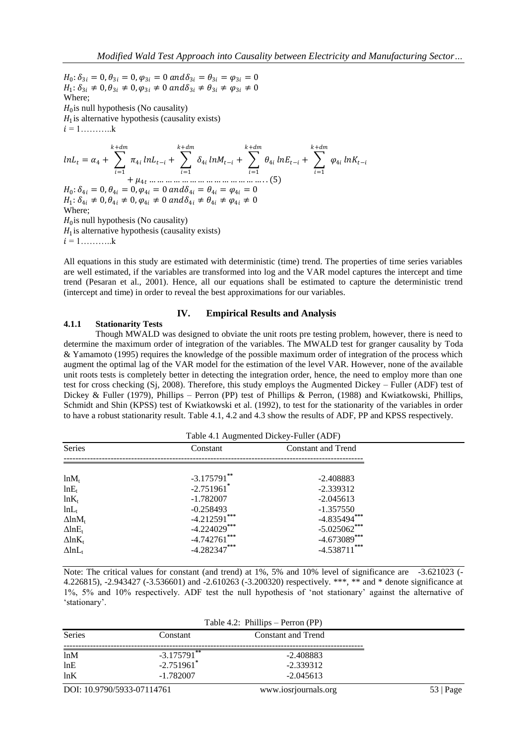$H_0: \delta_{3i} = 0$ ,  $\theta_{3i} = 0$ ,  $\varphi_{3i} = 0$  and  $\delta_{3i} = \theta_{3i} = \varphi_{3i} = 0$  $H_1: \delta_{3i} \neq 0, \theta_{3i} \neq 0, \varphi_{3i} \neq 0$  and  $\delta_{3i} \neq \theta_{3i} \neq \varphi_{3i} \neq 0$ Where;  $H_0$  is null hypothesis (No causality)  $H_1$  is alternative hypothesis (causality exists)  $i = 1, \ldots, k$  $ln L_t = \alpha_4 + \sum_{i} \pi_{4i}$  $k+dm$  $i=1$  $ln L_{t-i}$  +  $\sum \delta_{4i}$  $k+dm$  $i=1$  $ln M_{t-i}$  +  $\sum \theta_{4i}$  $k+dm$  $i=1$  $lnE_{t-i}$  +  $\sum \varphi_{4i}$  $k+dm$  $i=1$  $ln K_{t-i}$  $+ \mu_{4t}$  … … … … … … … … … … … … … … . . (5)  $H_0: \delta_{4i} = 0$ ,  $\theta_{4i} = 0$ ,  $\varphi_{4i} = 0$  and  $\delta_{4i} = \theta_{4i} = \varphi_{4i} = 0$  $H_1: \delta_{4i} \neq 0, \theta_{4i} \neq 0, \varphi_{4i} \neq 0$  and  $\delta_{4i} \neq \theta_{4i} \neq \varphi_{4i} \neq 0$ Where;  $H_0$  is null hypothesis (No causality)  $H_1$  is alternative hypothesis (causality exists)  $i = 1, \ldots, \ldots, k$ 

All equations in this study are estimated with deterministic (time) trend. The properties of time series variables are well estimated, if the variables are transformed into log and the VAR model captures the intercept and time trend (Pesaran et al., 2001). Hence, all our equations shall be estimated to capture the deterministic trend (intercept and time) in order to reveal the best approximations for our variables.

#### **IV. Empirical Results and Analysis**

## **4.1.1 Stationarity Tests**

Though MWALD was designed to obviate the unit roots pre testing problem, however, there is need to determine the maximum order of integration of the variables. The MWALD test for granger causality by Toda & Yamamoto (1995) requires the knowledge of the possible maximum order of integration of the process which augment the optimal lag of the VAR model for the estimation of the level VAR. However, none of the available unit roots tests is completely better in detecting the integration order, hence, the need to employ more than one test for cross checking (Sj, 2008). Therefore, this study employs the Augmented Dickey – Fuller (ADF) test of Dickey & Fuller (1979), Phillips – Perron (PP) test of Phillips & Perron, (1988) and Kwiatkowski, Phillips, Schmidt and Shin (KPSS) test of Kwiatkowski et al. (1992), to test for the stationarity of the variables in order to have a robust stationarity result. Table 4.1, 4.2 and 4.3 show the results of ADF, PP and KPSS respectively.

| Table 4.1 Augmented Dickey-Fuller (ADF) |
|-----------------------------------------|
|                                         |
|                                         |

| Series                    | Constant                 | <b>Constant and Trend</b> |
|---------------------------|--------------------------|---------------------------|
|                           |                          |                           |
|                           |                          |                           |
| $ln M_t$                  | $-3.175791$ **           | $-2.408883$               |
| $lnE_t$                   | $-2.751961$ <sup>*</sup> | $-2.339312$               |
| $ln K_t$                  | $-1.782007$              | $-2.045613$               |
| $lnL_t$                   | $-0.258493$              | $-1.357550$               |
| $\Delta$ ln $M_t$         | $-4.212591***$           | $-4.835494***$            |
| $\Delta$ lnE <sub>t</sub> | $-4.224029***$           | $-5.025062$ ***           |
| $\Delta$ ln $K_t$         | $-4.742761$ ***          | $-4.673089***$            |
| $\Delta$ ln $L_t$         | $-4.282347***$           | $-4.538711***$            |

 $T<sub>1</sub>$  +  $T<sub>2</sub>$  ,  $T<sub>3</sub>$  +  $T<sub>4</sub>$ 

Note: The critical values for constant (and trend) at 1%, 5% and 10% level of significance are -3.621023 (-4.226815), -2.943427 (-3.536601) and -2.610263 (-3.200320) respectively. \*\*\*, \*\* and \* denote significance at 1%, 5% and 10% respectively. ADF test the null hypothesis of 'not stationary' against the alternative of 'stationary'.

|                          | Table 4.2: Phillips – Perron (PP) |
|--------------------------|-----------------------------------|
| Constant                 | <b>Constant and Trend</b>         |
|                          |                                   |
|                          | $-2.408883$                       |
| $-2.751961$ <sup>*</sup> | $-2.339312$                       |
| $-1.782007$              | $-2.045613$                       |
|                          | $-3.175791$ **                    |

DOI: 10.9790/5933-07114761 www.iosrjournals.org 53 | Page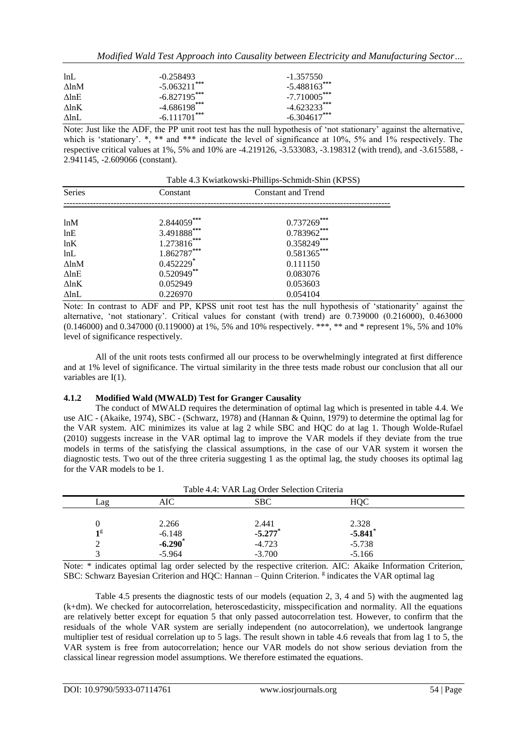|  |  |  |  | Modified Wald Test Approach into Causality between Electricity and Manufacturing Sector |  |
|--|--|--|--|-----------------------------------------------------------------------------------------|--|
|  |  |  |  |                                                                                         |  |

| lnL              | $-0.258493$     | $-1.357550$     |
|------------------|-----------------|-----------------|
| AlnM             | $-5.063211$ *** | $-5.488163***$  |
| $\Lambda$ ln $E$ | $-6.827195$ *** | $-7.710005$ *** |
| $\Lambda$ ln $K$ | $-4.686198$ *** | $-4.623233***$  |
| AlnL             | $-6.111701$ *** | $-6.304617***$  |

Note: Just like the ADF, the PP unit root test has the null hypothesis of 'not stationary' against the alternative, which is 'stationary'. \*, \*\* and \*\*\* indicate the level of significance at 10%, 5% and 1% respectively. The respective critical values at 1%, 5% and 10% are -4.219126, -3.533083, -3.198312 (with trend), and -3.615588, - 2.941145, -2.609066 (constant).

Table 4.3 Kwiatkowski-Phillips-Schmidt-Shin (KPSS)

| <b>Series</b> | Constant                | Constant and Trend |  |
|---------------|-------------------------|--------------------|--|
|               |                         |                    |  |
| ln M          | $2.844059***$           | $0.737269***$      |  |
| lnE           | 3.491888***             | $0.783962***$      |  |
| lnK           | $1.273816***$           | $0.358249***$      |  |
| lnL           | 1.862787***             | $0.581365***$      |  |
| $\Delta$ lnM  | $0.452229$ <sup>*</sup> | 0.111150           |  |
| $\Delta$ lnE  | $0.520949$ **           | 0.083076           |  |
| $\Delta$ lnK  | 0.052949                | 0.053603           |  |
| $\Delta$ lnL  | 0.226970                | 0.054104           |  |

Note: In contrast to ADF and PP, KPSS unit root test has the null hypothesis of 'stationarity' against the alternative, 'not stationary'. Critical values for constant (with trend) are 0.739000 (0.216000), 0.463000 (0.146000) and 0.347000 (0.119000) at 1%, 5% and 10% respectively. \*\*\*, \*\* and \* represent 1%, 5% and 10% level of significance respectively.

All of the unit roots tests confirmed all our process to be overwhelmingly integrated at first difference and at 1% level of significance. The virtual similarity in the three tests made robust our conclusion that all our variables are I(1).

## **4.1.2 Modified Wald (MWALD) Test for Granger Causality**

The conduct of MWALD requires the determination of optimal lag which is presented in table 4.4. We use AIC - (Akaike, 1974), SBC - (Schwarz, 1978) and (Hannan & Quinn, 1979) to determine the optimal lag for the VAR system. AIC minimizes its value at lag 2 while SBC and HQC do at lag 1. Though Wolde-Rufael (2010) suggests increase in the VAR optimal lag to improve the VAR models if they deviate from the true models in terms of the satisfying the classical assumptions, in the case of our VAR system it worsen the diagnostic tests. Two out of the three criteria suggesting 1 as the optimal lag, the study chooses its optimal lag for the VAR models to be 1.

|     | Table 4.4: VAR Lag Order Selection Criteria |            |                       |  |  |  |
|-----|---------------------------------------------|------------|-----------------------|--|--|--|
| Lag | AIC                                         | <b>SBC</b> | HOC                   |  |  |  |
|     |                                             |            |                       |  |  |  |
|     | 2.266                                       | 2.441      | 2.328                 |  |  |  |
| 18  | $-6.148$                                    | $-5.277$ * | $-5.841$ <sup>*</sup> |  |  |  |
| ⌒   | $-6.290$ *                                  | $-4.723$   | $-5.738$              |  |  |  |
|     | $-5.964$                                    | $-3.700$   | $-5.166$              |  |  |  |

Note: \* indicates optimal lag order selected by the respective criterion. AIC: Akaike Information Criterion, SBC: Schwarz Bayesian Criterion and HQC: Hannan - Quinn Criterion. <sup>g</sup> indicates the VAR optimal lag

Table 4.5 presents the diagnostic tests of our models (equation 2, 3, 4 and 5) with the augmented lag (k+dm). We checked for autocorrelation, heteroscedasticity, misspecification and normality. All the equations are relatively better except for equation 5 that only passed autocorrelation test. However, to confirm that the residuals of the whole VAR system are serially independent (no autocorrelation), we undertook langrange multiplier test of residual correlation up to 5 lags. The result shown in table 4.6 reveals that from lag 1 to 5, the VAR system is free from autocorrelation; hence our VAR models do not show serious deviation from the classical linear regression model assumptions. We therefore estimated the equations.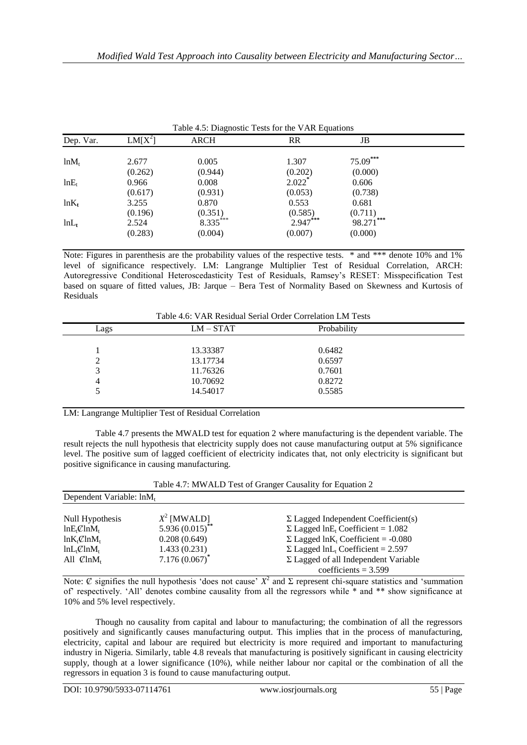|           | Table 4.5: Diagnostic Tests for the VAR Equations |             |                      |               |  |
|-----------|---------------------------------------------------|-------------|----------------------|---------------|--|
| Dep. Var. | $LM[X^2]$                                         | <b>ARCH</b> | <b>RR</b>            | JB            |  |
| $ln M_t$  | 2.677                                             | 0.005       | 1.307                | 75.09***      |  |
|           | (0.262)                                           | (0.944)     | (0.202)              | (0.000)       |  |
| $lnE_t$   | 0.966                                             | 0.008       | $2.022$ <sup>*</sup> | 0.606         |  |
|           | (0.617)                                           | (0.931)     | (0.053)              | (0.738)       |  |
| $ln K_t$  | 3.255                                             | 0.870       | 0.553                | 0.681         |  |
|           | (0.196)                                           | (0.351)     | (0.585)              | (0.711)       |  |
| $lnL_t$   | 2.524                                             | 8.335***    | 2.947***             | ***<br>98.271 |  |
|           | (0.283)                                           | (0.004)     | (0.007)              | (0.000)       |  |

Note: Figures in parenthesis are the probability values of the respective tests. \* and \*\*\* denote 10% and 1% level of significance respectively. LM: Langrange Multiplier Test of Residual Correlation, ARCH: Autoregressive Conditional Heteroscedasticity Test of Residuals, Ramsey's RESET: Misspecification Test based on square of fitted values, JB: Jarque – Bera Test of Normality Based on Skewness and Kurtosis of Residuals

| Table 4.6: VAR Residual Serial Order Correlation LM Tests |  |
|-----------------------------------------------------------|--|
|-----------------------------------------------------------|--|

|   | Lags | $LM - STAT$ | Probability |
|---|------|-------------|-------------|
|   |      |             |             |
|   |      | 13.33387    | 0.6482      |
| 2 |      | 13.17734    | 0.6597      |
| 3 |      | 11.76326    | 0.7601      |
| 4 |      | 10.70692    | 0.8272      |
|   |      | 14.54017    | 0.5585      |
|   |      |             |             |

LM: Langrange Multiplier Test of Residual Correlation

Table 4.7 presents the MWALD test for equation 2 where manufacturing is the dependent variable. The result rejects the null hypothesis that electricity supply does not cause manufacturing output at 5% significance level. The positive sum of lagged coefficient of electricity indicates that, not only electricity is significant but positive significance in causing manufacturing.

|                                      |                      | Table 4.7: MWALD Test of Granger Causality for Equation 2 |  |
|--------------------------------------|----------------------|-----------------------------------------------------------|--|
| Dependent Variable: lnM <sub>t</sub> |                      |                                                           |  |
| Null Hypothesis                      | $X^2$ [MWALD]        | $\Sigma$ Lagged Independent Coefficient(s)                |  |
| $lnE_{t}\mathcal{L}lnM_{t}$          | 5.936 $(0.015)^{**}$ | $\Sigma$ Lagged lnE <sub>t</sub> Coefficient = 1.082      |  |
| $ln K_t \mathcal{C} ln M_t$          | 0.208(0.649)         | $\Sigma$ Lagged lnK <sub>t</sub> Coefficient = -0.080     |  |
| $ln L_t \mathcal{C} ln M_t$          | 1.433(0.231)         | $\Sigma$ Lagged lnL <sub>t</sub> Coefficient = 2.597      |  |
| All $\mathcal{C}$ ln $M_t$           | $7.176(0.067)^*$     | $\Sigma$ Lagged of all Independent Variable               |  |
|                                      |                      | coefficients = $3.599$                                    |  |

Note:  $\emptyset$  signifies the null hypothesis 'does not cause'  $X^2$  and  $\Sigma$  represent chi-square statistics and 'summation of' respectively. 'All' denotes combine causality from all the regressors while \* and \*\* show significance at 10% and 5% level respectively.

Though no causality from capital and labour to manufacturing; the combination of all the regressors positively and significantly causes manufacturing output. This implies that in the process of manufacturing, electricity, capital and labour are required but electricity is more required and important to manufacturing industry in Nigeria. Similarly, table 4.8 reveals that manufacturing is positively significant in causing electricity supply, though at a lower significance (10%), while neither labour nor capital or the combination of all the regressors in equation 3 is found to cause manufacturing output.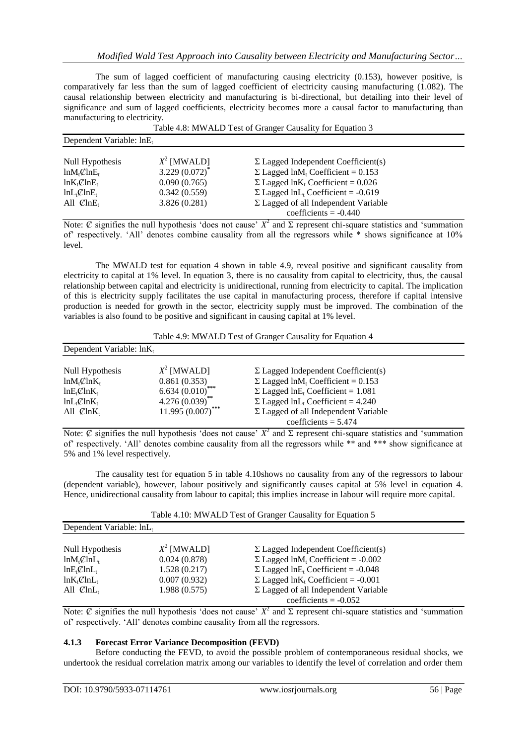The sum of lagged coefficient of manufacturing causing electricity (0.153), however positive, is comparatively far less than the sum of lagged coefficient of electricity causing manufacturing (1.082). The causal relationship between electricity and manufacturing is bi-directional, but detailing into their level of significance and sum of lagged coefficients, electricity becomes more a causal factor to manufacturing than manufacturing to electricity.

|                             | Table 4.8: MWALD Test of Granger Causality for Equation 3 |                                                       |  |  |  |
|-----------------------------|-----------------------------------------------------------|-------------------------------------------------------|--|--|--|
| Dependent Variable: $lnE_t$ |                                                           |                                                       |  |  |  |
| Null Hypothesis             | $X^2$ [MWALD]                                             | $\Sigma$ Lagged Independent Coefficient(s)            |  |  |  |
| $ln M_t \mathcal{C} ln E_t$ | $3.229(0.072)^{^{\circ}}$                                 | $\Sigma$ Lagged lnM <sub>t</sub> Coefficient = 0.153  |  |  |  |
| $ln K_t \mathcal{C} ln E_t$ | 0.090(0.765)                                              | $\Sigma$ Lagged lnK <sub>t</sub> Coefficient = 0.026  |  |  |  |
| $ln L_t \mathcal{C} ln E_t$ | 0.342(0.559)                                              | $\Sigma$ Lagged lnL <sub>t</sub> Coefficient = -0.619 |  |  |  |
| All $\mathcal{C}$ ln $E_t$  | 3.826(0.281)                                              | $\Sigma$ Lagged of all Independent Variable           |  |  |  |
|                             |                                                           | coefficients $= -0.440$                               |  |  |  |

Note:  $\emptyset$  signifies the null hypothesis 'does not cause'  $X^2$  and  $\Sigma$  represent chi-square statistics and 'summation of' respectively. 'All' denotes combine causality from all the regressors while \* shows significance at 10% level.

The MWALD test for equation 4 shown in table 4.9, reveal positive and significant causality from electricity to capital at 1% level. In equation 3, there is no causality from capital to electricity, thus, the causal relationship between capital and electricity is unidirectional, running from electricity to capital. The implication of this is electricity supply facilitates the use capital in manufacturing process, therefore if capital intensive production is needed for growth in the sector, electricity supply must be improved. The combination of the variables is also found to be positive and significant in causing capital at 1% level.

| Table 4.9: MWALD Test of Granger Causality for Equation 4 |  |  |  |  |
|-----------------------------------------------------------|--|--|--|--|
|-----------------------------------------------------------|--|--|--|--|

| Dependent Variable: $ln K_t$ |                     |                                                      |  |
|------------------------------|---------------------|------------------------------------------------------|--|
|                              |                     |                                                      |  |
| Null Hypothesis              | $X^2$ [MWALD]       | $\Sigma$ Lagged Independent Coefficient(s)           |  |
| $ln M_t \mathcal{L} ln K_t$  | 0.861(0.353)        | $\Sigma$ Lagged lnM <sub>t</sub> Coefficient = 0.153 |  |
| $lnE_{t}\mathcal{C}lnK_{t}$  | $6.634(0.010)$ ***  | $\Sigma$ Lagged lnE <sub>t</sub> Coefficient = 1.081 |  |
| $ln L_{t}C ln K_{t}$         | $4.276(0.039)$ **   | $\Sigma$ Lagged lnL <sub>t</sub> Coefficient = 4.240 |  |
| All $\mathcal{C}$ ln $K_t$   | $11.995(0.007)$ *** | $\Sigma$ Lagged of all Independent Variable          |  |
|                              |                     | coefficients = $5.474$                               |  |

Note:  $\emptyset$  signifies the null hypothesis 'does not cause'  $X^2$  and  $\Sigma$  represent chi-square statistics and 'summation of' respectively. 'All' denotes combine causality from all the regressors while \*\* and \*\*\* show significance at 5% and 1% level respectively.

The causality test for equation 5 in table 4.10shows no causality from any of the regressors to labour (dependent variable), however, labour positively and significantly causes capital at 5% level in equation 4. Hence, unidirectional causality from labour to capital; this implies increase in labour will require more capital.

| Table 4.10: MWALD Test of Granger Causality for Equation 5 |  |  |  |  |
|------------------------------------------------------------|--|--|--|--|
|------------------------------------------------------------|--|--|--|--|

| Dependent Variable: $lnL_t$ |               |                                                       |  |  |  |  |
|-----------------------------|---------------|-------------------------------------------------------|--|--|--|--|
| Null Hypothesis             | $X^2$ [MWALD] | $\Sigma$ Lagged Independent Coefficient(s)            |  |  |  |  |
| $ln M_t \mathcal{C} ln L_t$ | 0.024(0.878)  | $\Sigma$ Lagged lnM <sub>t</sub> Coefficient = -0.002 |  |  |  |  |
| $lnE_{t}\mathcal{C}lnL_{t}$ | 1.528(0.217)  | $\Sigma$ Lagged lnE <sub>t</sub> Coefficient = -0.048 |  |  |  |  |
| $ln K_t \mathcal{C} ln L_t$ | 0.007(0.932)  | $\Sigma$ Lagged lnK <sub>t</sub> Coefficient = -0.001 |  |  |  |  |
| All $\mathcal{C}$ ln $L_t$  | 1.988(0.575)  | $\Sigma$ Lagged of all Independent Variable           |  |  |  |  |
|                             |               | coefficients = $-0.052$                               |  |  |  |  |

Note:  $\emptyset$  signifies the null hypothesis 'does not cause'  $X^2$  and  $\Sigma$  represent chi-square statistics and 'summation of' respectively. 'All' denotes combine causality from all the regressors.

## **4.1.3 Forecast Error Variance Decomposition (FEVD)**

Before conducting the FEVD, to avoid the possible problem of contemporaneous residual shocks, we undertook the residual correlation matrix among our variables to identify the level of correlation and order them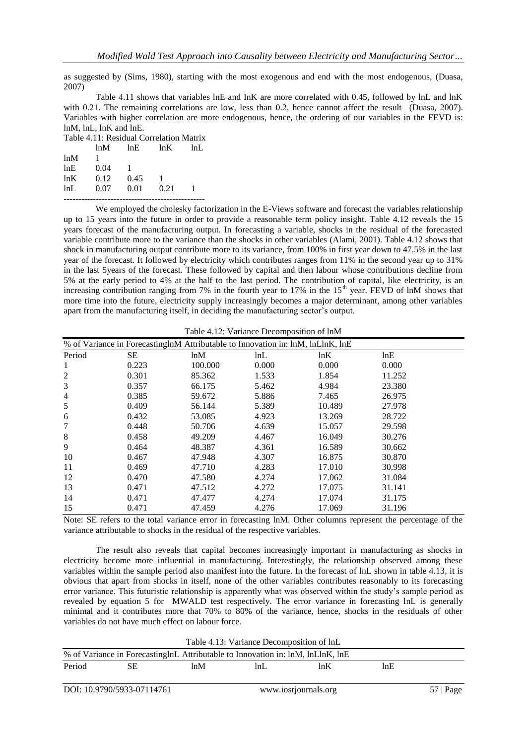as suggested by (Sims, 1980), starting with the most exogenous and end with the most endogenous, (Duasa, 2007)

Table 4.11 shows that variables lnE and InK are more correlated with 0.45, followed by lnL and lnK with 0.21. The remaining correlations are low, less than 0.2, hence cannot affect the result (Duasa, 2007). Variables with higher correlation are more endogenous, hence, the ordering of our variables in the FEVD is: lnM, lnL, lnK and lnE.

| Table 4.11: Residual Correlation Matrix |      |      |      |     |  |  |  |
|-----------------------------------------|------|------|------|-----|--|--|--|
|                                         | lnM  | lnE  | ln K | lnL |  |  |  |
| ln M                                    |      |      |      |     |  |  |  |
| lnE                                     | 0.04 |      |      |     |  |  |  |
| ln K                                    | 0.12 | 0.45 |      |     |  |  |  |
| lnL                                     | 0.07 | 0.01 | 0.21 |     |  |  |  |
|                                         |      |      |      |     |  |  |  |

We employed the cholesky factorization in the E-Views software and forecast the variables relationship up to 15 years into the future in order to provide a reasonable term policy insight. Table 4.12 reveals the 15 years forecast of the manufacturing output. In forecasting a variable, shocks in the residual of the forecasted variable contribute more to the variance than the shocks in other variables (Alami, 2001). Table 4.12 shows that shock in manufacturing output contribute more to its variance, from 100% in first year down to 47.5% in the last year of the forecast. It followed by electricity which contributes ranges from 11% in the second year up to 31% in the last 5years of the forecast. These followed by capital and then labour whose contributions decline from 5% at the early period to 4% at the half to the last period. The contribution of capital, like electricity, is an increasing contribution ranging from 7% in the fourth year to 17% in the 15<sup>th</sup> year. FEVD of lnM shows that more time into the future, electricity supply increasingly becomes a major determinant, among other variables apart from the manufacturing itself, in deciding the manufacturing sector's output.

|  |  | Table 4.12: Variance Decomposition of lnM |  |
|--|--|-------------------------------------------|--|
|--|--|-------------------------------------------|--|

|                | % of Variance in ForecastinglnM Attributable to Innovation in: lnM, lnLlnK, lnE |         |       |        |        |
|----------------|---------------------------------------------------------------------------------|---------|-------|--------|--------|
| Period         | <b>SE</b>                                                                       | lnM     | lnL   | lnK    | lnE    |
| 1              | 0.223                                                                           | 100.000 | 0.000 | 0.000  | 0.000  |
| $\overline{c}$ | 0.301                                                                           | 85.362  | 1.533 | 1.854  | 11.252 |
| 3              | 0.357                                                                           | 66.175  | 5.462 | 4.984  | 23.380 |
| 4              | 0.385                                                                           | 59.672  | 5.886 | 7.465  | 26.975 |
| 5              | 0.409                                                                           | 56.144  | 5.389 | 10.489 | 27.978 |
| 6              | 0.432                                                                           | 53.085  | 4.923 | 13.269 | 28.722 |
| 7              | 0.448                                                                           | 50.706  | 4.639 | 15.057 | 29.598 |
| 8              | 0.458                                                                           | 49.209  | 4.467 | 16.049 | 30.276 |
| 9              | 0.464                                                                           | 48.387  | 4.361 | 16.589 | 30.662 |
| 10             | 0.467                                                                           | 47.948  | 4.307 | 16.875 | 30.870 |
| 11             | 0.469                                                                           | 47.710  | 4.283 | 17.010 | 30.998 |
| 12             | 0.470                                                                           | 47.580  | 4.274 | 17.062 | 31.084 |
| 13             | 0.471                                                                           | 47.512  | 4.272 | 17.075 | 31.141 |
| 14             | 0.471                                                                           | 47.477  | 4.274 | 17.074 | 31.175 |
| 15             | 0.471                                                                           | 47.459  | 4.276 | 17.069 | 31.196 |

Note: SE refers to the total variance error in forecasting lnM. Other columns represent the percentage of the variance attributable to shocks in the residual of the respective variables.

The result also reveals that capital becomes increasingly important in manufacturing as shocks in electricity become more influential in manufacturing. Interestingly, the relationship observed among these variables within the sample period also manifest into the future. In the forecast of lnL shown in table 4.13, it is obvious that apart from shocks in itself, none of the other variables contributes reasonably to its forecasting error variance. This futuristic relationship is apparently what was observed within the study's sample period as revealed by equation 5 for MWALD test respectively. The error variance in forecasting lnL is generally minimal and it contributes more that 70% to 80% of the variance, hence, shocks in the residuals of other variables do not have much effect on labour force.

Table 4.13: Variance Decomposition of lnL

| $10010$ $1120$ , and $0000$ $1000$                                               |  |     |     |  |  |  |
|----------------------------------------------------------------------------------|--|-----|-----|--|--|--|
| % of Variance in Forecasting InL Attributable to Innovation in: InM, InLInK, InE |  |     |     |  |  |  |
| Period                                                                           |  | lnM | InL |  |  |  |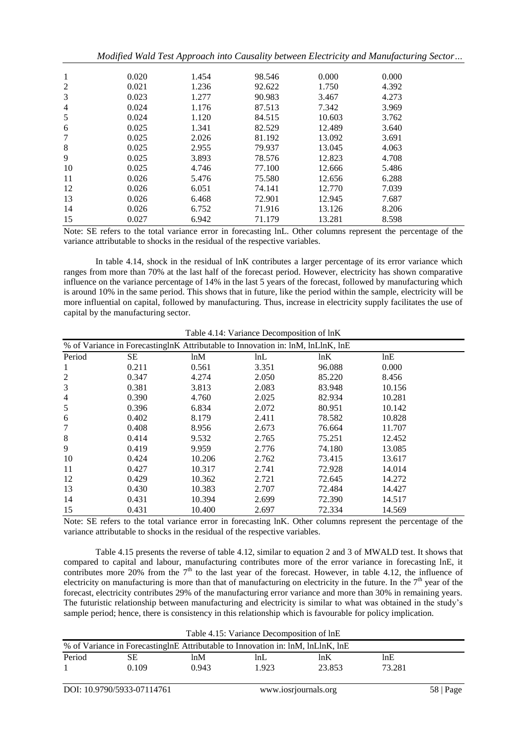|                | Modified Wald Test Approach into Causality between Electricity and Manufacturing Sector |       |        |        |       |  |
|----------------|-----------------------------------------------------------------------------------------|-------|--------|--------|-------|--|
| 1              | 0.020                                                                                   | 1.454 | 98.546 | 0.000  | 0.000 |  |
| $\overline{2}$ | 0.021                                                                                   | 1.236 | 92.622 | 1.750  | 4.392 |  |
| 3              | 0.023                                                                                   | 1.277 | 90.983 | 3.467  | 4.273 |  |
| $\overline{4}$ | 0.024                                                                                   | 1.176 | 87.513 | 7.342  | 3.969 |  |
| 5              | 0.024                                                                                   | 1.120 | 84.515 | 10.603 | 3.762 |  |
| 6              | 0.025                                                                                   | 1.341 | 82.529 | 12.489 | 3.640 |  |
| 7              | 0.025                                                                                   | 2.026 | 81.192 | 13.092 | 3.691 |  |
| 8              | 0.025                                                                                   | 2.955 | 79.937 | 13.045 | 4.063 |  |
| 9              | 0.025                                                                                   | 3.893 | 78.576 | 12.823 | 4.708 |  |
| 10             | 0.025                                                                                   | 4.746 | 77.100 | 12.666 | 5.486 |  |
| 11             | 0.026                                                                                   | 5.476 | 75.580 | 12.656 | 6.288 |  |
| 12             | 0.026                                                                                   | 6.051 | 74.141 | 12.770 | 7.039 |  |
| 13             | 0.026                                                                                   | 6.468 | 72.901 | 12.945 | 7.687 |  |
| 14             | 0.026                                                                                   | 6.752 | 71.916 | 13.126 | 8.206 |  |
| 15             | 0.027                                                                                   | 6.942 | 71.179 | 13.281 | 8.598 |  |

Note: SE refers to the total variance error in forecasting lnL. Other columns represent the percentage of the variance attributable to shocks in the residual of the respective variables.

In table 4.14, shock in the residual of lnK contributes a larger percentage of its error variance which ranges from more than 70% at the last half of the forecast period. However, electricity has shown comparative influence on the variance percentage of 14% in the last 5 years of the forecast, followed by manufacturing which is around 10% in the same period. This shows that in future, like the period within the sample, electricity will be more influential on capital, followed by manufacturing. Thus, increase in electricity supply facilitates the use of capital by the manufacturing sector.

|                |           | % of Variance in ForecastinglnK Attributable to Innovation in: lnM, lnLlnK, lnE |       |        |        |  |
|----------------|-----------|---------------------------------------------------------------------------------|-------|--------|--------|--|
| Period         | <b>SE</b> | ln M                                                                            | lnL   | lnK    | lnE    |  |
| 1              | 0.211     | 0.561                                                                           | 3.351 | 96.088 | 0.000  |  |
| $\overline{c}$ | 0.347     | 4.274                                                                           | 2.050 | 85.220 | 8.456  |  |
| 3              | 0.381     | 3.813                                                                           | 2.083 | 83.948 | 10.156 |  |
| 4              | 0.390     | 4.760                                                                           | 2.025 | 82.934 | 10.281 |  |
| 5              | 0.396     | 6.834                                                                           | 2.072 | 80.951 | 10.142 |  |
| 6              | 0.402     | 8.179                                                                           | 2.411 | 78.582 | 10.828 |  |
| 7              | 0.408     | 8.956                                                                           | 2.673 | 76.664 | 11.707 |  |
| 8              | 0.414     | 9.532                                                                           | 2.765 | 75.251 | 12.452 |  |
| 9              | 0.419     | 9.959                                                                           | 2.776 | 74.180 | 13.085 |  |
| 10             | 0.424     | 10.206                                                                          | 2.762 | 73.415 | 13.617 |  |
| 11             | 0.427     | 10.317                                                                          | 2.741 | 72.928 | 14.014 |  |
| 12             | 0.429     | 10.362                                                                          | 2.721 | 72.645 | 14.272 |  |
| 13             | 0.430     | 10.383                                                                          | 2.707 | 72.484 | 14.427 |  |
| 14             | 0.431     | 10.394                                                                          | 2.699 | 72.390 | 14.517 |  |
| 15             | 0.431     | 10.400                                                                          | 2.697 | 72.334 | 14.569 |  |

Table 4.14: Variance Decomposition of lnK

Note: SE refers to the total variance error in forecasting lnK. Other columns represent the percentage of the variance attributable to shocks in the residual of the respective variables.

Table 4.15 presents the reverse of table 4.12, similar to equation 2 and 3 of MWALD test. It shows that compared to capital and labour, manufacturing contributes more of the error variance in forecasting lnE, it contributes more 20% from the  $7<sup>th</sup>$  to the last year of the forecast. However, in table 4.12, the influence of electricity on manufacturing is more than that of manufacturing on electricity in the future. In the  $7<sup>th</sup>$  year of the forecast, electricity contributes 29% of the manufacturing error variance and more than 30% in remaining years. The futuristic relationship between manufacturing and electricity is similar to what was obtained in the study's sample period; hence, there is consistency in this relationship which is favourable for policy implication.

| Table 4.15: Variance Decomposition of lnE                                             |       |       |       |        |        |  |  |
|---------------------------------------------------------------------------------------|-------|-------|-------|--------|--------|--|--|
| % of Variance in Forecasting In E Attributable to Innovation in: In M, In Lln K, In E |       |       |       |        |        |  |  |
| Period                                                                                | SЕ    | ln M  | InL.  | lnK    | lnE    |  |  |
|                                                                                       | 0.109 | 0.943 | 1.923 | 23.853 | 73.281 |  |  |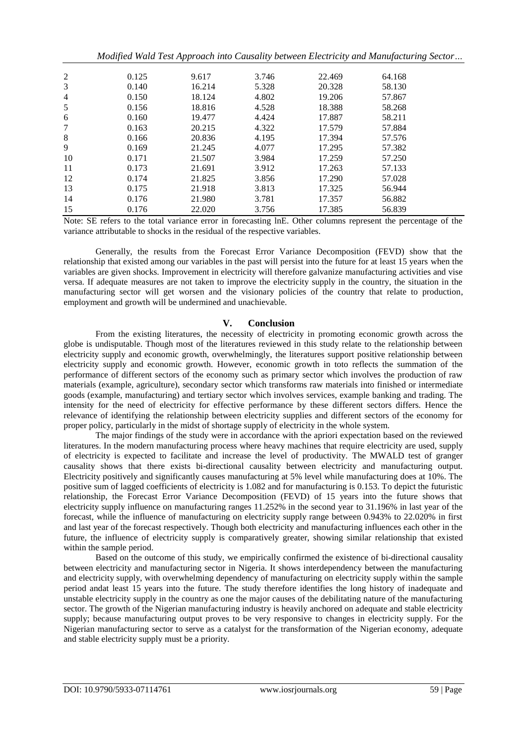|                |       |        |       |        | Modified Wald Test Approach into Causality between Electricity and Manufacturing Sector |  |
|----------------|-------|--------|-------|--------|-----------------------------------------------------------------------------------------|--|
| $\overline{c}$ | 0.125 | 9.617  | 3.746 | 22.469 | 64.168                                                                                  |  |
| 3              | 0.140 | 16.214 | 5.328 | 20.328 | 58.130                                                                                  |  |
| 4              | 0.150 | 18.124 | 4.802 | 19.206 | 57.867                                                                                  |  |
| 5              | 0.156 | 18.816 | 4.528 | 18.388 | 58.268                                                                                  |  |
| 6              | 0.160 | 19.477 | 4.424 | 17.887 | 58.211                                                                                  |  |
| 7              | 0.163 | 20.215 | 4.322 | 17.579 | 57.884                                                                                  |  |
| 8              | 0.166 | 20.836 | 4.195 | 17.394 | 57.576                                                                                  |  |
| 9              | 0.169 | 21.245 | 4.077 | 17.295 | 57.382                                                                                  |  |
| 10             | 0.171 | 21.507 | 3.984 | 17.259 | 57.250                                                                                  |  |
| 11             | 0.173 | 21.691 | 3.912 | 17.263 | 57.133                                                                                  |  |
| 12             | 0.174 | 21.825 | 3.856 | 17.290 | 57.028                                                                                  |  |
| 13             | 0.175 | 21.918 | 3.813 | 17.325 | 56.944                                                                                  |  |
| 14             | 0.176 | 21.980 | 3.781 | 17.357 | 56.882                                                                                  |  |
| 15             | 0.176 | 22.020 | 3.756 | 17.385 | 56.839                                                                                  |  |

Note: SE refers to the total variance error in forecasting lnE. Other columns represent the percentage of the variance attributable to shocks in the residual of the respective variables.

Generally, the results from the Forecast Error Variance Decomposition (FEVD) show that the relationship that existed among our variables in the past will persist into the future for at least 15 years when the variables are given shocks. Improvement in electricity will therefore galvanize manufacturing activities and vise versa. If adequate measures are not taken to improve the electricity supply in the country, the situation in the manufacturing sector will get worsen and the visionary policies of the country that relate to production, employment and growth will be undermined and unachievable.

## **V. Conclusion**

From the existing literatures, the necessity of electricity in promoting economic growth across the globe is undisputable. Though most of the literatures reviewed in this study relate to the relationship between electricity supply and economic growth, overwhelmingly, the literatures support positive relationship between electricity supply and economic growth. However, economic growth in toto reflects the summation of the performance of different sectors of the economy such as primary sector which involves the production of raw materials (example, agriculture), secondary sector which transforms raw materials into finished or intermediate goods (example, manufacturing) and tertiary sector which involves services, example banking and trading. The intensity for the need of electricity for effective performance by these different sectors differs. Hence the relevance of identifying the relationship between electricity supplies and different sectors of the economy for proper policy, particularly in the midst of shortage supply of electricity in the whole system.

The major findings of the study were in accordance with the apriori expectation based on the reviewed literatures. In the modern manufacturing process where heavy machines that require electricity are used, supply of electricity is expected to facilitate and increase the level of productivity. The MWALD test of granger causality shows that there exists bi-directional causality between electricity and manufacturing output. Electricity positively and significantly causes manufacturing at 5% level while manufacturing does at 10%. The positive sum of lagged coefficients of electricity is 1.082 and for manufacturing is 0.153. To depict the futuristic relationship, the Forecast Error Variance Decomposition (FEVD) of 15 years into the future shows that electricity supply influence on manufacturing ranges 11.252% in the second year to 31.196% in last year of the forecast, while the influence of manufacturing on electricity supply range between 0.943% to 22.020% in first and last year of the forecast respectively. Though both electricity and manufacturing influences each other in the future, the influence of electricity supply is comparatively greater, showing similar relationship that existed within the sample period.

Based on the outcome of this study, we empirically confirmed the existence of bi-directional causality between electricity and manufacturing sector in Nigeria. It shows interdependency between the manufacturing and electricity supply, with overwhelming dependency of manufacturing on electricity supply within the sample period andat least 15 years into the future. The study therefore identifies the long history of inadequate and unstable electricity supply in the country as one the major causes of the debilitating nature of the manufacturing sector. The growth of the Nigerian manufacturing industry is heavily anchored on adequate and stable electricity supply; because manufacturing output proves to be very responsive to changes in electricity supply. For the Nigerian manufacturing sector to serve as a catalyst for the transformation of the Nigerian economy, adequate and stable electricity supply must be a priority.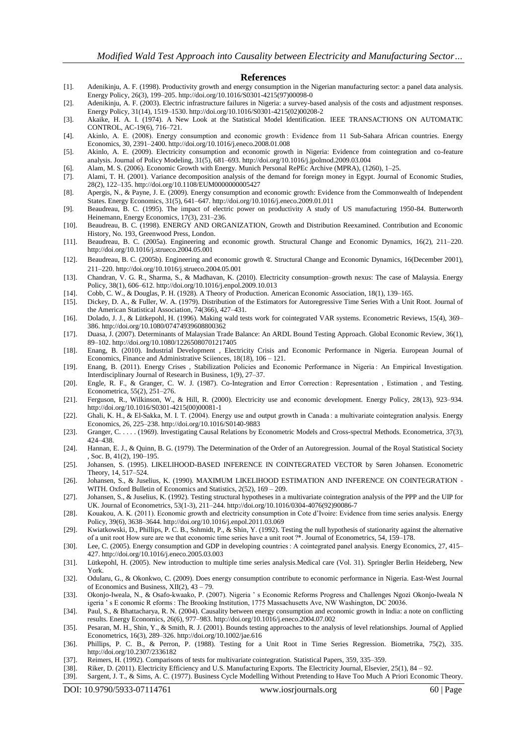#### **References**

- [1]. Adenikinju, A. F. (1998). Productivity growth and energy consumption in the Nigerian manufacturing sector: a panel data analysis. Energy Policy, 26(3), 199–205. http://doi.org/10.1016/S0301-4215(97)00098-0
- [2]. Adenikinju, A. F. (2003). Electric infrastructure failures in Nigeria: a survey-based analysis of the costs and adjustment responses. Energy Policy, 31(14), 1519–1530. http://doi.org/10.1016/S0301-4215(02)00208-2
- [3]. Akaike, H. A. I. (1974). A New Look at the Statistical Model Identification. IEEE TRANSACTIONS ON AUTOMATIC CONTROL, AC-19(6), 716–721.
- [4]. Akinlo, A. E. (2008). Energy consumption and economic growth : Evidence from 11 Sub-Sahara African countries. Energy Economics, 30, 2391–2400. http://doi.org/10.1016/j.eneco.2008.01.008
- [5]. Akinlo, A. E. (2009). Electricity consumption and economic growth in Nigeria: Evidence from cointegration and co-feature analysis. Journal of Policy Modeling, 31(5), 681–693. http://doi.org/10.1016/j.jpolmod.2009.03.004
- [6]. Alam, M. S. (2006). Economic Growth with Energy. Munich Personal RePEc Archive (MPRA), (1260), 1–25.
- [7]. Alami, T. H. (2001). Variance decomposition analysis of the demand for foreign money in Egypt. Journal of Economic Studies, 28(2), 122–135. http://doi.org/10.1108/EUM0000000005427
- [8]. Apergis, N., & Payne, J. E. (2009). Energy consumption and economic growth: Evidence from the Commonwealth of Independent States. Energy Economics, 31(5), 641–647. http://doi.org/10.1016/j.eneco.2009.01.011
- [9]. Beaudreau, B. C. (1995). The impact of electric power on productivity A study of US manufacturing 1950-84. Butterworth Heinemann, Energy Economics, 17(3), 231–236.
- [10]. Beaudreau, B. C. (1998). ENERGY AND ORGANIZATION, Growth and Distribution Reexamined. Contribution and Economic History, No. 193, Greenwood Press, London.
- [11]. Beaudreau, B. C. (2005a). Engineering and economic growth. Structural Change and Economic Dynamics, 16(2), 211–220. http://doi.org/10.1016/j.strueco.2004.05.001
- [12]. Beaudreau, B. C. (2005b). Engineering and economic growth ଝ. Structural Change and Economic Dynamics, 16(December 2001), 211–220. http://doi.org/10.1016/j.strueco.2004.05.001
- [13]. Chandran, V. G. R., Sharma, S., & Madhavan, K. (2010). Electricity consumption–growth nexus: The case of Malaysia. Energy Policy, 38(1), 606–612. http://doi.org/10.1016/j.enpol.2009.10.013
- [14]. Cobb, C. W., & Douglas, P. H. (1928). A Theory of Production. American Economic Association, 18(1), 139–165.
- [15]. Dickey, D. A., & Fuller, W. A. (1979). Distribution of the Estimators for Autoregressive Time Series With a Unit Root. Journal of the American Statistical Association, 74(366), 427–431.
- [16]. Dolado, J. J., & Lütkepohl, H. (1996). Making wald tests work for cointegrated VAR systems. Econometric Reviews, 15(4), 369– 386. http://doi.org/10.1080/07474939608800362
- [17]. Duasa, J. (2007). Determinants of Malaysian Trade Balance: An ARDL Bound Testing Approach. Global Economic Review, 36(1), 89–102. http://doi.org/10.1080/12265080701217405
- [18]. Enang, B. (2010). Industrial Development , Electricity Crisis and Economic Performance in Nigeria. European Journal of Economics, Finance and Administrative Sciiences, 18(18), 106 – 121.
- [19]. Enang, B. (2011). Energy Crises , Stabilization Policies and Economic Performance in Nigeria : An Empirical Investigation. Interdisciplinary Journal of Research in Business, 1(9), 27–37.
- [20]. Engle, R. F., & Granger, C. W. J. (1987). Co-Integration and Error Correction : Representation , Estimation , and Testing. Econometrica, 55(2), 251–276.
- [21]. Ferguson, R., Wilkinson, W., & Hill, R. (2000). Electricity use and economic development. Energy Policy, 28(13), 923–934. http://doi.org/10.1016/S0301-4215(00)00081-1
- [22]. Ghali, K. H., & El-Sakka, M. I. T. (2004). Energy use and output growth in Canada : a multivariate cointegration analysis. Energy Economics, 26, 225–238. http://doi.org/10.1016/S0140-9883
- [23]. Granger, C. . . . . (1969). Investigating Causal Relations by Econometric Models and Cross-spectral Methods. Econometrica, 37(3), 424–438.
- [24]. Hannan, E. J., & Quinn, B. G. (1979). The Determination of the Order of an Autoregression. Journal of the Royal Statistical Society , Soc. B, 41(2), 190–195.
- [25]. Johansen, S. (1995). LIKELIHOOD-BASED INFERENCE IN COINTEGRATED VECTOR by Søren Johansen. Econometric Theory, 14, 517–524.
- [26]. Johansen, S., & Juselius, K. (1990). MAXIMUM LIKELIHOOD ESTIMATION AND INFERENCE ON COINTEGRATION -WITH. Oxford Bulletin of Economics and Statistics, 2(52), 169 – 209.
- [27]. Johansen, S., & Juselius, K. (1992). Testing structural hypotheses in a multivariate cointegration analysis of the PPP and the UIP for UK. Journal of Econometrics, 53(1-3), 211–244. http://doi.org/10.1016/0304-4076(92)90086-7
- [28]. Kouakou, A. K. (2011). Economic growth and electricity consumption in Cote d'Ivoire: Evidence from time series analysis. Energy Policy, 39(6), 3638–3644. http://doi.org/10.1016/j.enpol.2011.03.069
- [29]. Kwiatkowski, D., Phillips, P. C. B., Sshmidt, P., & Shin, Y. (1992). Testing the null hypothesis of stationarity against the alternative of a unit root How sure are we that economic time series have a unit root ?\*. Journal of Econometrics, 54, 159–178.
- [30]. Lee, C. (2005). Energy consumption and GDP in developing countries : A cointegrated panel analysis. Energy Economics, 27, 415– 427. http://doi.org/10.1016/j.eneco.2005.03.003
- [31]. Lütkepohl, H. (2005). New introduction to multiple time series analysis.Medical care (Vol. 31). Springler Berlin Heideberg, New York.
- [32]. Odularu, G., & Okonkwo, C. (2009). Does energy consumption contribute to economic performance in Nigeria. East-West Journal of Economics and Business, XII(2), 43 – 79.
- [33]. Okonjo-Iweala, N., & Osafo-kwaako, P. (2007). Nigeria ' s Economic Reforms Progress and Challenges Ngozi Okonjo-Iweala N igeria ' s E conomic R eforms : The Brooking Institution, 1775 Massachusetts Ave, NW Washington, DC 20036.
- [34]. Paul, S., & Bhattacharya, R. N. (2004). Causality between energy consumption and economic growth in India: a note on conflicting results. Energy Economics, 26(6), 977–983. http://doi.org/10.1016/j.eneco.2004.07.002
- [35]. Pesaran, M. H., Shin, Y., & Smith, R. J. (2001). Bounds testing approaches to the analysis of level relationships. Journal of Applied Econometrics, 16(3), 289–326. http://doi.org/10.1002/jae.616
- [36]. Phillips, P. C. B., & Perron, P. (1988). Testing for a Unit Root in Time Series Regression. Biometrika, 75(2), 335. http://doi.org/10.2307/2336182
- [37]. Reimers, H. (1992). Comparisons of tests for multivariate cointegration. Statistical Papers, 359, 335–359.
- [38]. Riker, D. (2011). Electricity Efficiency and U.S. Manufacturing Exports. The Electricity Journal, Elsevier, 25(1), 84 92.
- [39]. Sargent, J. T., & Sims, A. C. (1977). Business Cycle Modelling Without Pretending to Have Too Much A Priori Economic Theory.